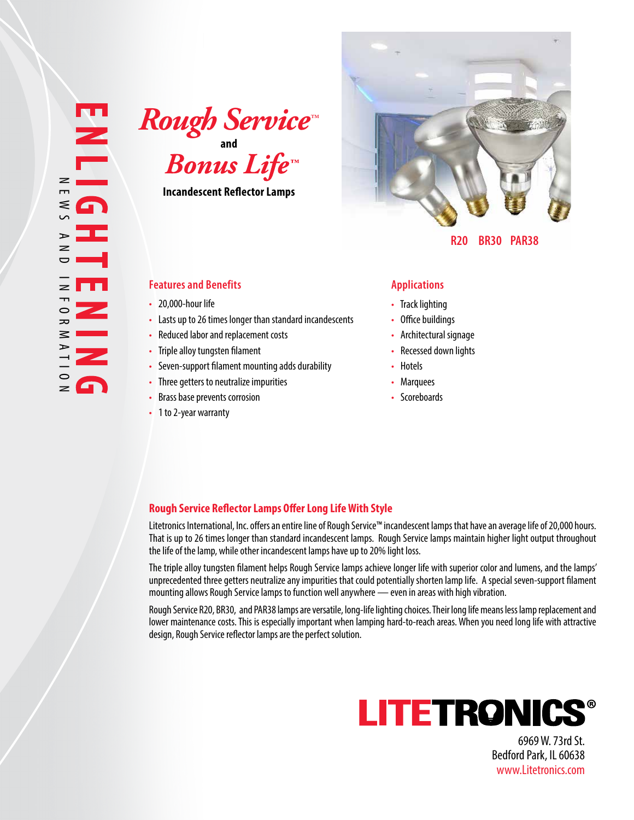**and**  $\boldsymbol{R}$ ough Service<sup>\*</sup>

**Incandescent Reflector Lamps**

## **Features and Benefits Applications**

- 20.000-hour life
- Lasts up to 26 times longer than standard incandescents
- Reduced labor and replacement costs
- Triple alloy tungsten filament
- Seven-support filament mounting adds durability
- Three getters to neutralize impurities
- Brass base prevents corrosion
- 1 to 2-year warranty



 **R20 BR30 PAR38** 

- Track lighting
- Office buildings
- Architectural signage
- Recessed down lights
- Hotels
- Marquees
- Scoreboards

## **Rough Service Reflector Lamps Offer Long Life With Style**

Litetronics International, Inc. offers an entire line of Rough Service™ incandescent lamps that have an average life of 20,000 hours. That is up to 26 times longer than standard incandescent lamps. Rough Service lamps maintain higher light output throughout the life of the lamp, while other incandescent lamps have up to 20% light loss.

The triple alloy tungsten filament helps Rough Service lamps achieve longer life with superior color and lumens, and the lamps' unprecedented three getters neutralize any impurities that could potentially shorten lamp life. A special seven-support filament mounting allows Rough Service lamps to function well anywhere — even in areas with high vibration.

Rough Service R20, BR30, and PAR38 lamps are versatile, long-life lighting choices. Their long life means less lamp replacement and lower maintenance costs. This is especially important when lamping hard-to-reach areas. When you need long life with attractive design, Rough Service reflector lamps are the perfect solution.



6969 W. 73rd St. Bedford Park, IL 60638 www.Litetronics.com